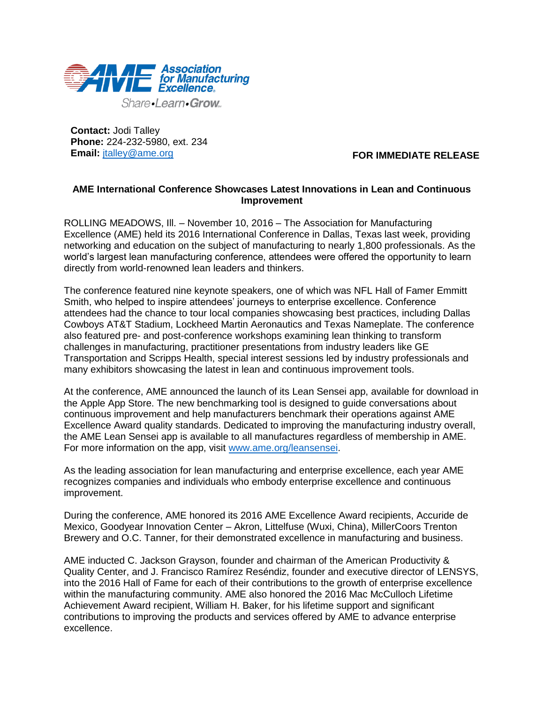

Share-Learn-Grow

**Contact:** Jodi Talley **Phone:** 224-232-5980, ext. 234 **Email:** [jtalley@ame.org](mailto:jtalley@ame.org)

 **FOR IMMEDIATE RELEASE**

## **AME International Conference Showcases Latest Innovations in Lean and Continuous Improvement**

ROLLING MEADOWS, Ill. – November 10, 2016 – The Association for Manufacturing Excellence (AME) held its 2016 International Conference in Dallas, Texas last week, providing networking and education on the subject of manufacturing to nearly 1,800 professionals. As the world's largest lean manufacturing conference, attendees were offered the opportunity to learn directly from world-renowned lean leaders and thinkers.

The conference featured nine keynote speakers, one of which was NFL Hall of Famer Emmitt Smith, who helped to inspire attendees' journeys to enterprise excellence. Conference attendees had the chance to tour local companies showcasing best practices, including Dallas Cowboys AT&T Stadium, Lockheed Martin Aeronautics and Texas Nameplate. The conference also featured pre- and post-conference workshops examining lean thinking to transform challenges in manufacturing, practitioner presentations from industry leaders like GE Transportation and Scripps Health, special interest sessions led by industry professionals and many exhibitors showcasing the latest in lean and continuous improvement tools.

At the conference, AME announced the launch of its Lean Sensei app, available for download in the Apple App Store. The new benchmarking tool is designed to guide conversations about continuous improvement and help manufacturers benchmark their operations against AME Excellence Award quality standards. Dedicated to improving the manufacturing industry overall, the AME Lean Sensei app is available to all manufactures regardless of membership in AME. For more information on the app, visit [www.ame.org/leansensei.](http://www.ame.org/leansensei)

As the leading association for lean manufacturing and enterprise excellence, each year AME recognizes companies and individuals who embody enterprise excellence and continuous improvement.

During the conference, AME honored its 2016 AME Excellence Award recipients, Accuride de Mexico, Goodyear Innovation Center – Akron, Littelfuse (Wuxi, China), MillerCoors Trenton Brewery and O.C. Tanner, for their demonstrated excellence in manufacturing and business.

AME inducted C. Jackson Grayson, founder and chairman of the American Productivity & Quality Center, and J. Francisco Ramírez Reséndiz, founder and executive director of LENSYS, into the 2016 Hall of Fame for each of their contributions to the growth of enterprise excellence within the manufacturing community. AME also honored the 2016 Mac McCulloch Lifetime Achievement Award recipient, William H. Baker, for his lifetime support and significant contributions to improving the products and services offered by AME to advance enterprise excellence.